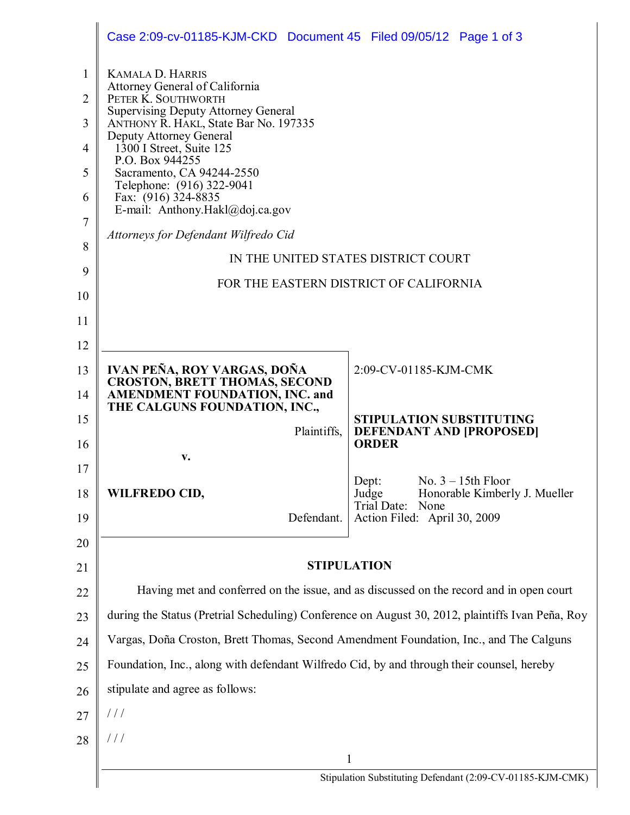|                                                    | Case 2:09-cv-01185-KJM-CKD Document 45 Filed 09/05/12 Page 1 of 3                                                                                                                                                                                                                                                                                                     |                                                                          |  |
|----------------------------------------------------|-----------------------------------------------------------------------------------------------------------------------------------------------------------------------------------------------------------------------------------------------------------------------------------------------------------------------------------------------------------------------|--------------------------------------------------------------------------|--|
| $\mathbf{1}$<br>$\overline{2}$<br>3<br>4<br>5<br>6 | <b>KAMALA D. HARRIS</b><br>Attorney General of California<br>PETER K. SOUTHWORTH<br><b>Supervising Deputy Attorney General</b><br>ANTHONY R. HAKL, State Bar No. 197335<br>Deputy Attorney General<br>1300 I Street, Suite 125<br>P.O. Box 944255<br>Sacramento, CA 94244-2550<br>Telephone: (916) 322-9041<br>Fax: (916) 324-8835<br>E-mail: Anthony.Hakl@doj.ca.gov |                                                                          |  |
| $\overline{7}$                                     | Attorneys for Defendant Wilfredo Cid                                                                                                                                                                                                                                                                                                                                  |                                                                          |  |
| 8                                                  | IN THE UNITED STATES DISTRICT COURT                                                                                                                                                                                                                                                                                                                                   |                                                                          |  |
| 9                                                  | FOR THE EASTERN DISTRICT OF CALIFORNIA                                                                                                                                                                                                                                                                                                                                |                                                                          |  |
| 10                                                 |                                                                                                                                                                                                                                                                                                                                                                       |                                                                          |  |
| 11                                                 |                                                                                                                                                                                                                                                                                                                                                                       |                                                                          |  |
| 12                                                 |                                                                                                                                                                                                                                                                                                                                                                       |                                                                          |  |
| 13<br>14                                           | IVAN PEÑA, ROY VARGAS, DOÑA<br><b>CROSTON, BRETT THOMAS, SECOND</b><br><b>AMENDMENT FOUNDATION, INC. and</b>                                                                                                                                                                                                                                                          | 2:09-CV-01185-KJM-CMK                                                    |  |
| 15                                                 | THE CALGUNS FOUNDATION, INC.,                                                                                                                                                                                                                                                                                                                                         | <b>STIPULATION SUBSTITUTING</b>                                          |  |
| 16                                                 | Plaintiffs,                                                                                                                                                                                                                                                                                                                                                           | <b>DEFENDANT AND [PROPOSED]</b><br><b>ORDER</b>                          |  |
| 17                                                 | V.                                                                                                                                                                                                                                                                                                                                                                    |                                                                          |  |
| 18                                                 | <b>WILFREDO CID,</b>                                                                                                                                                                                                                                                                                                                                                  | No. $3 - 15$ th Floor<br>Dept:<br>Honorable Kimberly J. Mueller<br>Judge |  |
| 19                                                 | Defendant.                                                                                                                                                                                                                                                                                                                                                            | Trial Date:<br>None<br>Action Filed: April 30, 2009                      |  |
| 20                                                 |                                                                                                                                                                                                                                                                                                                                                                       |                                                                          |  |
| 21                                                 | <b>STIPULATION</b>                                                                                                                                                                                                                                                                                                                                                    |                                                                          |  |
| 22                                                 | Having met and conferred on the issue, and as discussed on the record and in open court                                                                                                                                                                                                                                                                               |                                                                          |  |
| 23                                                 | during the Status (Pretrial Scheduling) Conference on August 30, 2012, plaintiffs Ivan Peña, Roy                                                                                                                                                                                                                                                                      |                                                                          |  |
| 24                                                 | Vargas, Doña Croston, Brett Thomas, Second Amendment Foundation, Inc., and The Calguns                                                                                                                                                                                                                                                                                |                                                                          |  |
| 25                                                 | Foundation, Inc., along with defendant Wilfredo Cid, by and through their counsel, hereby                                                                                                                                                                                                                                                                             |                                                                          |  |
| 26                                                 | stipulate and agree as follows:                                                                                                                                                                                                                                                                                                                                       |                                                                          |  |
| 27                                                 | $\frac{1}{2}$                                                                                                                                                                                                                                                                                                                                                         |                                                                          |  |
| 28                                                 | $\frac{1}{2}$                                                                                                                                                                                                                                                                                                                                                         |                                                                          |  |
|                                                    | 1                                                                                                                                                                                                                                                                                                                                                                     |                                                                          |  |
|                                                    |                                                                                                                                                                                                                                                                                                                                                                       | Stipulation Substituting Defendant (2:09-CV-01185-KJM-CMK)               |  |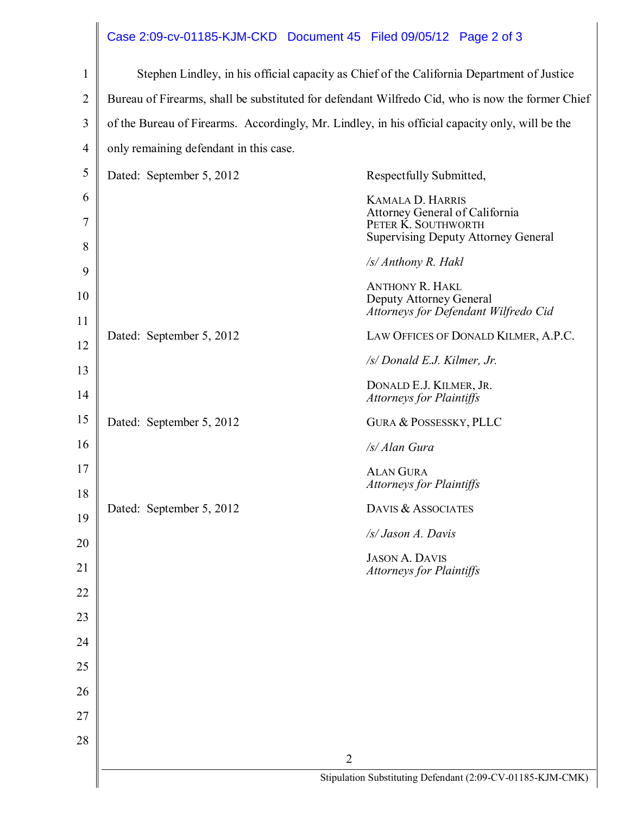## Case 2:09-cv-01185-KJM-CKD Document 45 Filed 09/05/12 Page 2 of 3

| $\mathbf{1}$   | Stephen Lindley, in his official capacity as Chief of the California Department of Justice       |                                                                                                     |  |
|----------------|--------------------------------------------------------------------------------------------------|-----------------------------------------------------------------------------------------------------|--|
| $\overline{2}$ | Bureau of Firearms, shall be substituted for defendant Wilfredo Cid, who is now the former Chief |                                                                                                     |  |
| 3              | of the Bureau of Firearms. Accordingly, Mr. Lindley, in his official capacity only, will be the  |                                                                                                     |  |
| $\overline{4}$ | only remaining defendant in this case.                                                           |                                                                                                     |  |
| 5              | Dated: September 5, 2012                                                                         | Respectfully Submitted,                                                                             |  |
| 6              |                                                                                                  | <b>KAMALA D. HARRIS</b>                                                                             |  |
| 7              |                                                                                                  | Attorney General of California<br>PETER K. SOUTHWORTH<br><b>Supervising Deputy Attorney General</b> |  |
| 8              |                                                                                                  | /s/ Anthony R. Hakl                                                                                 |  |
| 9              |                                                                                                  | <b>ANTHONY R. HAKL</b>                                                                              |  |
| 10             |                                                                                                  | Deputy Attorney General<br>Attorneys for Defendant Wilfredo Cid                                     |  |
| 11             | Dated: September 5, 2012                                                                         | LAW OFFICES OF DONALD KILMER, A.P.C.                                                                |  |
| 12<br>13       |                                                                                                  | /s/ Donald E.J. Kilmer, Jr.                                                                         |  |
| 14             |                                                                                                  | DONALD E.J. KILMER, JR.<br><b>Attorneys for Plaintiffs</b>                                          |  |
| 15             | Dated: September 5, 2012                                                                         | <b>GURA &amp; POSSESSKY, PLLC</b>                                                                   |  |
| 16             |                                                                                                  | /s/ Alan Gura                                                                                       |  |
| 17<br>18       |                                                                                                  | <b>ALAN GURA</b><br><b>Attorneys for Plaintiffs</b>                                                 |  |
| 19             | Dated: September 5, 2012                                                                         | DAVIS & ASSOCIATES                                                                                  |  |
| 20             |                                                                                                  | /s/ Jason A. Davis                                                                                  |  |
| 21             |                                                                                                  | <b>JASON A. DAVIS</b><br><b>Attorneys for Plaintiffs</b>                                            |  |
| 22             |                                                                                                  |                                                                                                     |  |
| 23             |                                                                                                  |                                                                                                     |  |
| 24             |                                                                                                  |                                                                                                     |  |
| 25             |                                                                                                  |                                                                                                     |  |
| 26             |                                                                                                  |                                                                                                     |  |
| 27             |                                                                                                  |                                                                                                     |  |
| 28             |                                                                                                  |                                                                                                     |  |
|                | $\overline{2}$<br>Stipulation Substituting Defendant (2:09-CV-01185-KJM-CMK)                     |                                                                                                     |  |
|                |                                                                                                  |                                                                                                     |  |